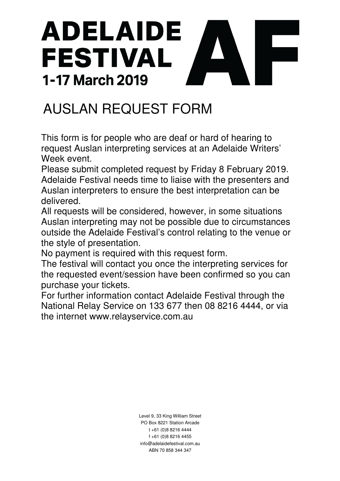# ADELAIDE **FESTIVAL** 1-17 March 2019

## AUSLAN REQUEST FORM

This form is for people who are deaf or hard of hearing to request Auslan interpreting services at an Adelaide Writers' Week event.

Please submit completed request by Friday 8 February 2019. Adelaide Festival needs time to liaise with the presenters and Auslan interpreters to ensure the best interpretation can be delivered.

All requests will be considered, however, in some situations Auslan interpreting may not be possible due to circumstances outside the Adelaide Festival's control relating to the venue or the style of presentation.

No payment is required with this request form.

The festival will contact you once the interpreting services for the requested event/session have been confirmed so you can purchase your tickets.

For further information contact Adelaide Festival through the National Relay Service on 133 677 then 08 8216 4444, or via the internet www.relayservice.com.au

> Level 9, 33 King William Street PO Box 8221 Station Arcade t +61 (0)8 8216 4444 f +61 (0)8 8216 4455 info@adelaidefestival.com.au ABN 70 858 344 347